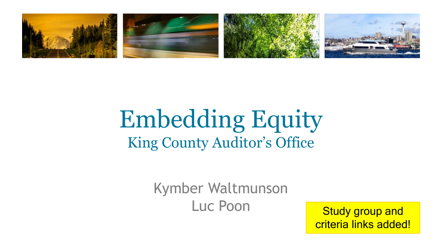

### Embedding Equity King County Auditor's Office

Kymber Waltmunson Luc Poon Study group and

criteria links added!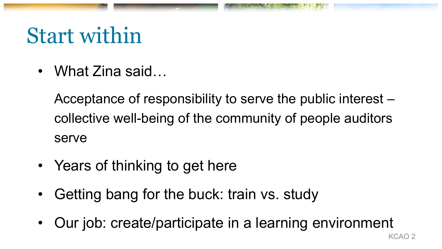## Start within

• What Zina said…

Acceptance of responsibility to serve the public interest – collective well-being of the community of people auditors serve

- Years of thinking to get here
- Getting bang for the buck: train vs. study
- Our job: create/participate in a learning environment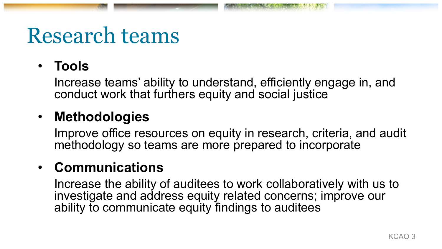## Research teams

### • **Tools**

Increase teams' ability to understand, efficiently engage in, and conduct work that furthers equity and social justice

### • **Methodologies**

Improve office resources on equity in research, criteria, and audit methodology so teams are more prepared to incorporate

### • **Communications**

Increase the ability of auditees to work collaboratively with us to investigate and address equity related concerns; improve our ability to communicate equity findings to auditees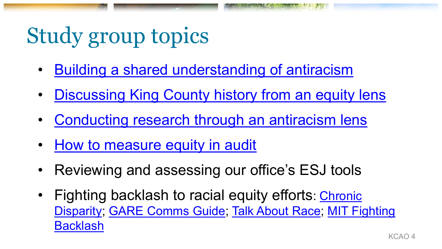# Study group topics

- [Building a shared understanding of antiracism](https://nmaahc.si.edu/learn/talking-about-race/topics/being-antiracist)
- **[Discussing King County history from an equity lens](https://depts.washington.edu/civilr/slides_segregation-story.htm)**
- [Conducting research through an antiracism lens](https://libguides.umn.edu/antiracismlens)
- [How to measure equity in audit](https://cdn.ymaws.com/algaonline.org/resource/resmgr/resources/guides_and_reports/How-to-Measure-Equity.pdf)
- Reviewing and assessing our office's ESJ tools
- Fighting backlash to racial equity efforts: Chronic [Disparity; GARE Comms Guide; Talk About Race; MIT Fighting](https://sloanreview.mit.edu/article/fighting-backlash-to-racial-equity-efforts/) Backlash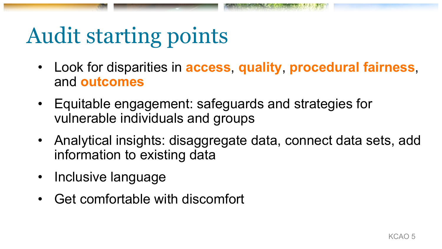# Audit starting points

- Look for disparities in **access**, **quality**, **procedural fairness**, and **outcomes**
- Equitable engagement: safeguards and strategies for vulnerable individuals and groups
- Analytical insights: disaggregate data, connect data sets, add information to existing data
- Inclusive language
- Get comfortable with discomfort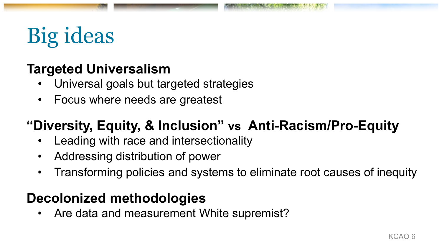## Big ideas

### **Targeted Universalism**

- Universal goals but targeted strategies
- Focus where needs are greatest

### **"Diversity, Equity, & Inclusion" vs Anti-Racism/Pro-Equity**

- Leading with race and intersectionality
- Addressing distribution of power
- Transforming policies and systems to eliminate root causes of inequity

### **Decolonized methodologies**

• Are data and measurement White supremist?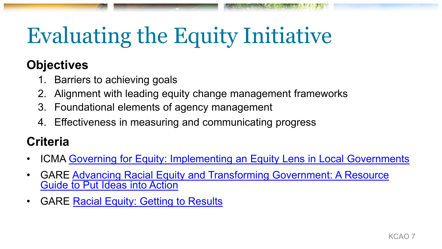# Evaluating the Equity Initiative

### **Objectives**

- 1. Barriers to achieving goals
- Alignment with leading equity change management frameworks
- 3. Foundational elements of agency management
- 4. Effectiveness in measuring and communicating progress

### **Criteria**

- ICMA [Governing for Equity: Implementing an Equity Lens in Local Governments](https://icma.org/governing-equity-implementing-equity-lens-local-government)
- [GARE Advancing Racial Equity and Transforming Government: A Resource](https://www.racialequityalliance.org/resources/advancing-racial-equity-and-transforming-government-a-resource-guide-to-put-ideas-into-action/)  Guide to Put Ideas into Action
- GARE [Racial Equity: Getting to Results](https://www.racialequityalliance.org/resources/racial-equity-getting-results/)